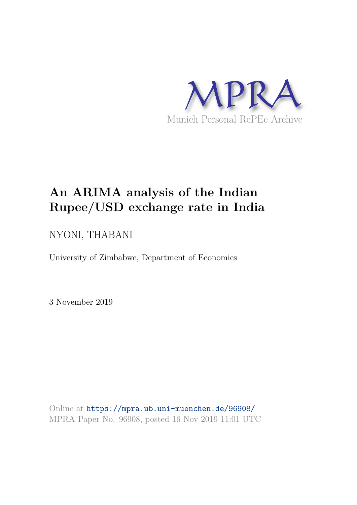

# **An ARIMA analysis of the Indian Rupee/USD exchange rate in India**

# NYONI, THABANI

University of Zimbabwe, Department of Economics

3 November 2019

Online at https://mpra.ub.uni-muenchen.de/96908/ MPRA Paper No. 96908, posted 16 Nov 2019 11:01 UTC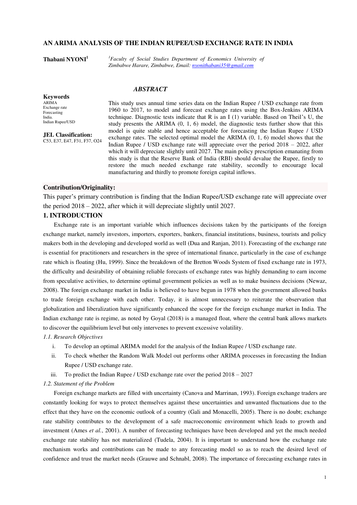# **AN ARIMA ANALYSIS OF THE INDIAN RUPEE/USD EXCHANGE RATE IN INDIA**

**Thabani NYONI<sup>1</sup>** *<sup>1</sup>Faculty of Social Studies Department of Economics University of Zimbabwe Harare, Zimbabwe, Email: nyonithabani35@gmail.com* 

#### *ABSTRACT*

**Keywords** ARIMA Exchange rate Forecasting India. Indian Rupee/USD

**JEL Classification:**  C53, E37, E47, F31, F37, O24 This study uses annual time series data on the Indian Rupee / USD exchange rate from 1960 to 2017, to model and forecast exchange rates using the Box-Jenkins ARIMA technique. Diagnostic tests indicate that R is an I (1) variable. Based on Theil's U, the study presents the ARIMA (0, 1, 6) model, the diagnostic tests further show that this model is quite stable and hence acceptable for forecasting the Indian Rupee / USD exchange rates. The selected optimal model the ARIMA (0, 1, 6) model shows that the Indian Rupee / USD exchange rate will appreciate over the period 2018 – 2022, after which it will depreciate slightly until 2027. The main policy prescription emanating from this study is that the Reserve Bank of India (RBI) should devalue the Rupee, firstly to restore the much needed exchange rate stability, secondly to encourage local manufacturing and thirdly to promote foreign capital inflows.

# **Contribution/Originality:**

This paper's primary contribution is finding that the Indian Rupee/USD exchange rate will appreciate over the period 2018 – 2022, after which it will depreciate slightly until 2027.

# **1. INTRODUCTION**

Exchange rate is an important variable which influences decisions taken by the participants of the foreign exchange market, namely investors, importers, exporters, bankers, financial institutions, business, tourists and policy makers both in the developing and developed world as well (Dua and Ranjan, 2011). Forecasting of the exchange rate is essential for practitioners and researchers in the spree of international finance, particularly in the case of exchange rate which is floating (Hu, 1999). Since the breakdown of the Bretton Woods System of fixed exchange rate in 1973, the difficulty and desirability of obtaining reliable forecasts of exchange rates was highly demanding to earn income from speculative activities, to determine optimal government policies as well as to make business decisions (Newaz, 2008). The foreign exchange market in India is believed to have begun in 1978 when the government allowed banks to trade foreign exchange with each other. Today, it is almost unnecessary to reiterate the observation that globalization and liberalization have significantly enhanced the scope for the foreign exchange market in India. The Indian exchange rate is regime, as noted by Goyal (2018) is a managed float, where the central bank allows markets to discover the equilibrium level but only intervenes to prevent excessive volatility.

# *1.1. Research Objectives*

- i. To develop an optimal ARIMA model for the analysis of the Indian Rupee / USD exchange rate.
- ii. To check whether the Random Walk Model out performs other ARIMA processes in forecasting the Indian Rupee / USD exchange rate.
- iii. To predict the Indian Rupee / USD exchange rate over the period  $2018 2027$

# *1.2. Statement of the Problem*

Foreign exchange markets are filled with uncertainty (Canova and Marrinan, 1993). Foreign exchange traders are constantly looking for ways to protect themselves against these uncertainties and unwanted fluctuations due to the effect that they have on the economic outlook of a country (Gali and Monacelli, 2005). There is no doubt; exchange rate stability contributes to the development of a safe macroeconomic environment which leads to growth and investment (Ames *et al.*, 2001). A number of forecasting techniques have been developed and yet the much needed exchange rate stability has not materialized (Tudela, 2004). It is important to understand how the exchange rate mechanism works and contributions can be made to any forecasting model so as to reach the desired level of confidence and trust the market needs (Grauwe and Schnabl, 2008). The importance of forecasting exchange rates in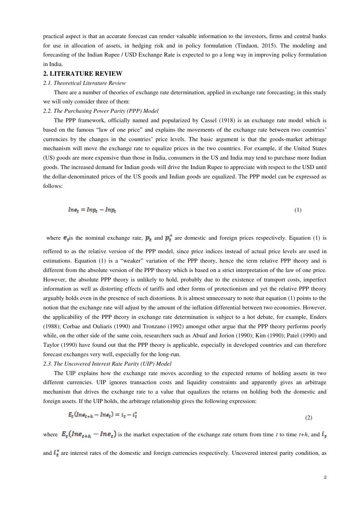practical aspect is that an accurate forecast can render valuable information to the investors, firms and central banks for use in allocation of assets, in hedging risk and in policy formulation (Tindaon, 2015). The modeling and forecasting of the Indian Rupee / USD Exchange Rate is expected to go a long way in improving policy formulation in India.

## **2. LITERATURE REVIEW**

# *2.1. Theoretical Literature Review*

There are a number of theories of exchange rate determination, applied in exchange rate forecasting; in this study we will only consider three of them:

#### *2.2. The Purchasing Power Parity (PPP) Model*

The PPP framework, officially named and popularized by Cassel (1918) is an exchange rate model which is based on the famous "law of one price" and explains the movements of the exchange rate between two countries' currencies by the changes in the countries' price levels. The basic argument is that the goods-market arbitrage mechanism will move the exchange rate to equalize prices in the two countries. For example, if the United States (US) goods are more expensive than those in India, consumers in the US and India may tend to purchase more Indian goods. The increased demand for Indian goods will drive the Indian Rupee to appreciate with respect to the USD until the dollar-denominated prices of the US goods and Indian goods are equalized. The PPP model can be expressed as follows:

$$
Ine_t = Inp_t - Inp_t \tag{1}
$$

where  $e_t$  is the nominal exchange rate,  $p_t$  and  $p_t^*$  are domestic and foreign prices respectively. Equation (1) is reffered to as the relative version of the PPP model, since price indices instead of actual price levels are used in estimations. Equation (1) is a "weaker" variation of the PPP theory, hence the term relative PPP theory and is different from the absolute version of the PPP theory which is based on a strict interpretation of the law of one price. However, the absolute PPP theory is unlikely to hold, probably due to the existence of transport costs, imperfect information as well as distorting effects of tariffs and other forms of protectionism and yet the relative PPP theory arguably holds even in the presence of such distortions. It is almost unnecessary to note that equation (1) points to the notion that the exchange rate will adjust by the amount of the inflation differential between two economies. However, the applicability of the PPP theory in exchange rate determination is subject to a hot debate, for example, Enders (1988); Corbae and Ouliaris (1990) and Tronzano (1992) amongst other argue that the PPP theory performs poorly while, on the other side of the same coin, researchers such as Abuaf and Jorion (1990); Kim (1990); Patel (1990) and Taylor (1990) have found out that the PPP theory is applicable, especially in developed countries and can therefore forecast exchanges very well, especially for the long-run.

# *2.3. The Uncovered Interest Rate Parity (UIP) Model*

The UIP explains how the exchange rate moves according to the expected returns of holding assets in two different currencies. UIP ignores transaction costs and liquidity constraints and apparently gives an arbitrage mechanism that drives the exchange rate to a value that equalizes the returns on holding both the domestic and foreign assets. If the UIP holds, the arbitrage relationship gives the following expression:

$$
E_t (Ine_{t+h} - Ine_t) = i_t - i_t^* \tag{2}
$$

where  $E_t(Inc_{t+h} - Ine_t)$  is the market expectation of the exchange rate return from time *t* to time *t+h*, and  $i_t$ 

and  $i_{\tau}^{*}$  are interest rates of the domestic and foreign currencies respectively. Uncovered interest parity condition, as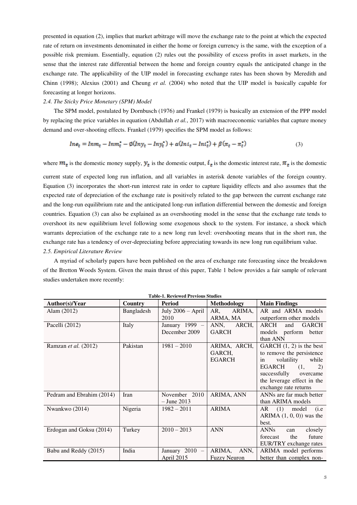presented in equation (2), implies that market arbitrage will move the exchange rate to the point at which the expected rate of return on investments denominated in either the home or foreign currency is the same, with the exception of a possible risk premium. Essentially, equation (2) rules out the possibility of excess profits in asset markets, in the sense that the interest rate differential between the home and foreign country equals the anticipated change in the exchange rate. The applicability of the UIP model in forecasting exchange rates has been shown by Meredith and Chinn (1998); Alexius (2001) and Cheung *et al.* (2004) who noted that the UIP model is basically capable for forecasting at longer horizons.

#### *2.4. The Sticky Price Monetary (SPM) Model*

The SPM model, postulated by Dornbusch (1976) and Frankel (1979) is basically an extension of the PPP model by replacing the price variables in equation (Abdullah *et al.*, 2017) with macroeconomic variables that capture money demand and over-shooting effects. Frankel (1979) specifies the SPM model as follows:

$$
Ine_t = Inn_t - Inn_t^* - \emptyset (Iny_t - Iny_t^*) + \alpha (Ini_t - Ini_t^*) + \beta (\pi_t - \pi_t^*)
$$
\n(3)

where  $m_t$  is the domestic money supply,  $y_t$  is the domestic output,  $i_t$  is the domestic interest rate,  $\pi_t$  is the domestic

current state of expected long run inflation, and all variables in asterisk denote variables of the foreign country. Equation (3) incorporates the short-run interest rate in order to capture liquidity effects and also assumes that the expected rate of depreciation of the exchange rate is positively related to the gap between the current exchange rate and the long-run equilibrium rate and the anticipated long-run inflation differential between the domestic and foreign countries. Equation (3) can also be explained as an overshooting model in the sense that the exchange rate tends to overshoot its new equilibrium level following some exogenous shock to the system. For instance, a shock which warrants depreciation of the exchange rate to a new long run level: overshooting means that in the short run, the exchange rate has a tendency of over-depreciating before appreciating towards its new long run equilibrium value. *2.5. Empirical Literature Review* 

A myriad of scholarly papers have been published on the area of exchange rate forecasting since the breakdown of the Bretton Woods System. Given the main thrust of this paper, Table 1 below provides a fair sample of relevant studies undertaken more recently:

| Author(s)/Year            | Country    | 1 avic-1. Kevieweg 1 Tevious Studies<br>Period | <b>Methodology</b>                      | <b>Main Findings</b>                                                                                                                                                                           |
|---------------------------|------------|------------------------------------------------|-----------------------------------------|------------------------------------------------------------------------------------------------------------------------------------------------------------------------------------------------|
| Alam $(2012)$             | Bangladesh | July $2006 - April$<br>2010                    | AR,<br>ARIMA,<br>ARMA, MA               | AR and ARMA models<br>outperform other models                                                                                                                                                  |
| Pacelli (2012)            | Italy      | January 1999 $-$<br>December 2009              | ANN,<br>ARCH,<br><b>GARCH</b>           | ARCH<br><b>GARCH</b><br>and<br>models perform better<br>than ANN                                                                                                                               |
| Ramzan et al. (2012)      | Pakistan   | $1981 - 2010$                                  | ARIMA, ARCH,<br>GARCH,<br><b>EGARCH</b> | GARCH $(1, 2)$ is the best<br>to remove the persistence<br>volatility<br>in<br>while<br>EGARCH<br>(1,<br>2)<br>successfully<br>overcame<br>the leverage effect in the<br>exchange rate returns |
| Pedram and Ebrahim (2014) | Iran       | November 2010<br>$-$ June 2013                 | ARIMA, ANN                              | ANNs are far much better<br>than ARIMA models                                                                                                                                                  |
| Nwankwo (2014)            | Nigeria    | $1982 - 2011$                                  | <b>ARIMA</b>                            | $AR$ (1) model<br>(i.e<br>ARIMA $(1, 0, 0)$ was the<br>best.                                                                                                                                   |
| Erdogan and Goksu (2014)  | Turkey     | $2010 - 2013$                                  | <b>ANN</b>                              | <b>ANNs</b><br>closely<br>can<br>future<br>forecast<br>the<br>EUR/TRY exchange rates                                                                                                           |
| Babu and Reddy (2015)     | India      | January $2010 -$<br>April 2015                 | ARIMA,<br>ANN,<br><b>Fuzzy Neuron</b>   | ARIMA model performs<br>better than complex non-                                                                                                                                               |

**Table-1. Reviewed Previous Studies**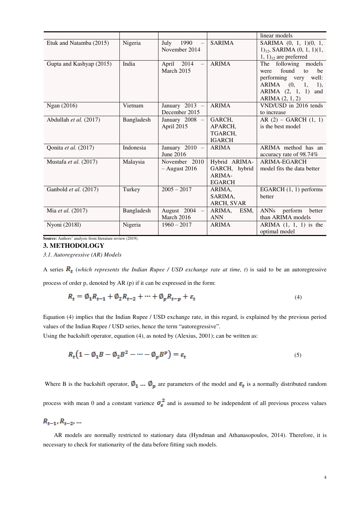|                          |            |                           |                   | linear models                     |
|--------------------------|------------|---------------------------|-------------------|-----------------------------------|
| Etuk and Natamba (2015)  | Nigeria    | 1990<br>July              | <b>SARIMA</b>     | SARIMA (0, 1, 1)(0, 1,            |
|                          |            | November 2014             |                   | $1)_{12}$ , SARIMA $(0, 1, 1)(1,$ |
|                          |            |                           |                   | $(1, 1)_{12}$ are preferred       |
| Gupta and Kashyap (2015) | India      | 2014<br>April<br>$\equiv$ | <b>ARIMA</b>      | The following models              |
|                          |            | <b>March 2015</b>         |                   | found<br>to<br>be<br>were         |
|                          |            |                           |                   | performing very well:             |
|                          |            |                           |                   | ARIMA (0,<br>1,<br>1),            |
|                          |            |                           |                   | ARIMA $(2, 1, 1)$<br>and          |
|                          |            |                           |                   | ARIMA (2, 1, 2)                   |
| Ngan (2016)              | Vietnam    | January $2013 -$          | <b>ARIMA</b>      | VND/USD in 2016 tends             |
|                          |            | December 2015             |                   | to increase                       |
| Abdullah et al. (2017)   | Bangladesh | January $2008 -$          | GARCH,            | AR $(2)$ – GARCH $(1, 1)$         |
|                          |            | April 2015                | APARCH,           | is the best model                 |
|                          |            |                           | TGARCH.           |                                   |
|                          |            |                           | <b>IGARCH</b>     |                                   |
| Qonita et al. (2017)     | Indonesia  | January $2010 -$          | <b>ARIMA</b>      | ARIMA method has an               |
|                          |            | June 2016                 |                   | accuracy rate of 98.74%           |
| Mustafa et al. (2017)    | Malaysia   | November 2010             | Hybrid ARIMA-     | <b>ARIMA-EGARCH</b>               |
|                          |            | $-$ August 2016           | GARCH, hybrid     | model fits the data better        |
|                          |            |                           | ARIMA-            |                                   |
|                          |            |                           | <b>EGARCH</b>     |                                   |
| Ganbold et al. (2017)    | Turkey     | $2005 - 2017$             | ARIMA,            | EGARCH $(1, 1)$ performs          |
|                          |            |                           | SARIMA,           | better                            |
|                          |            |                           | <b>ARCH, SVAR</b> |                                   |
| Mia et al. (2017)        | Bangladesh | August $2004 -$           | ARIMA,<br>ESM,    | <b>ANNs</b><br>perform<br>better  |
|                          |            | March 2016                | <b>ANN</b>        | than ARIMA models                 |
| Nyoni (2018l)            | Nigeria    | $1960 - 2017$             | <b>ARIMA</b>      | ARIMA $(1, 1, 1)$ is the          |
|                          |            |                           |                   | optimal model                     |

**Source:** Authors' analysis from literature review (2019).

# **3. METHODOLOGY**

*3.1. Autoregressive (AR) Models* 

A series  $R_t$  (which represents the Indian Rupee / USD exchange rate at time, t) is said to be an autoregressive process of order p, denoted by AR (p) if it can be expressed in the form:

$$
R_t = \emptyset_1 R_{t-1} + \emptyset_2 R_{t-2} + \dots + \emptyset_p R_{t-p} + \varepsilon_t
$$
\n<sup>(4)</sup>

Equation (4) implies that the Indian Rupee / USD exchange rate, in this regard, is explained by the previous period values of the Indian Rupee / USD series, hence the term "autoregressive".

Using the backshift operator, equation (4), as noted by (Alexius, 2001); can be written as:

$$
R_t \left( 1 - \emptyset_1 B - \emptyset_2 B^2 - \dots - \emptyset_p B^p \right) = \varepsilon_t \tag{5}
$$

Where B is the backshift operator,  $\emptyset_1$  ...  $\emptyset_n$  are parameters of the model and  $\varepsilon_t$  is a normally distributed random process with mean 0 and a constant varience  $\sigma_{\varepsilon}^2$  and is assumed to be independent of all previous process values

 $R_{t-1}, R_{t-2}, ...$ 

AR models are normally restricted to stationary data (Hyndman and Athanasopoulos, 2014). Therefore, it is necessary to check for stationarity of the data before fitting such models.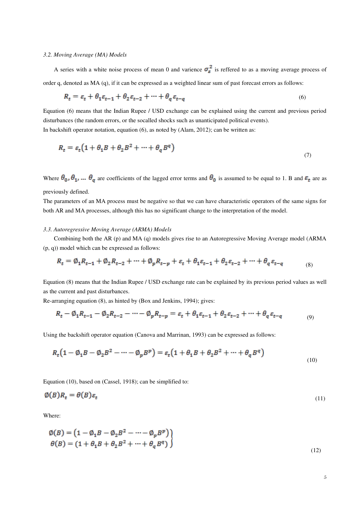#### *3.2. Moving Average (MA) Models*

A series with a white noise process of mean 0 and varience  $\sigma_{\varepsilon}^2$  is reffered to as a moving average process of order q, denoted as MA (q), if it can be expressed as a weighted linear sum of past forecast errors as follows:

$$
R_t = \varepsilon_t + \theta_1 \varepsilon_{t-1} + \theta_2 \varepsilon_{t-2} + \dots + \theta_q \varepsilon_{t-q}
$$
\n<sup>(6)</sup>

Equation (6) means that the Indian Rupee / USD exchange can be explained using the current and previous period disturbances (the random errors, or the socalled shocks such as unanticipated political events). In backshift operator notation, equation (6), as noted by (Alam, 2012); can be written as:

$$
R_t = \varepsilon_t \left( 1 + \theta_1 B + \theta_2 B^2 + \dots + \theta_q B^q \right) \tag{7}
$$

Where  $\theta_0$ ,  $\theta_1$ , ...  $\theta_q$  are coefficients of the lagged error terms and  $\theta_0$  is assumed to be equal to 1. B and  $\varepsilon_t$  are as previously defined.

The parameters of an MA process must be negative so that we can have characteristic operators of the same signs for both AR and MA processes, although this has no significant change to the interpretation of the model.

#### *3.3. Autoregressive Moving Average (ARMA) Models*

Combining both the AR (p) and MA (q) models gives rise to an Autoregressive Moving Average model (ARMA (p, q)) model which can be expressed as follows:

$$
R_t = \emptyset_1 R_{t-1} + \emptyset_2 R_{t-2} + \dots + \emptyset_p R_{t-p} + \varepsilon_t + \theta_1 \varepsilon_{t-1} + \theta_2 \varepsilon_{t-2} + \dots + \theta_q \varepsilon_{t-q}
$$
(8)

Equation (8) means that the Indian Rupee / USD exchange rate can be explained by its previous period values as well as the current and past disturbances.

Re-arranging equation (8), as hinted by (Box and Jenkins, 1994); gives:

$$
R_t - \emptyset_1 R_{t-1} - \emptyset_2 R_{t-2} - \dots - \emptyset_p R_{t-p} = \varepsilon_t + \theta_1 \varepsilon_{t-1} + \theta_2 \varepsilon_{t-2} + \dots + \theta_q \varepsilon_{t-q}
$$
(9)

Using the backshift operator equation (Canova and Marrinan, 1993) can be expressed as follows:

$$
R_t\left(1-\emptyset_1B-\emptyset_2B^2-\cdots-\emptyset_pB^p\right)=\varepsilon_t\left(1+\theta_1B+\theta_2B^2+\cdots+\theta_qB^q\right)
$$
\n
$$
(10)
$$

Equation (10), based on (Cassel, 1918); can be simplified to:

$$
\phi(B)R_t = \theta(B)\varepsilon_t \tag{11}
$$

Where:

$$
\emptyset(B) = (1 - \emptyset_1 B - \emptyset_2 B^2 - \dots - \emptyset_p B^p) \n\theta(B) = (1 + \theta_1 B + \theta_2 B^2 + \dots + \theta_q B^q)
$$
\n(12)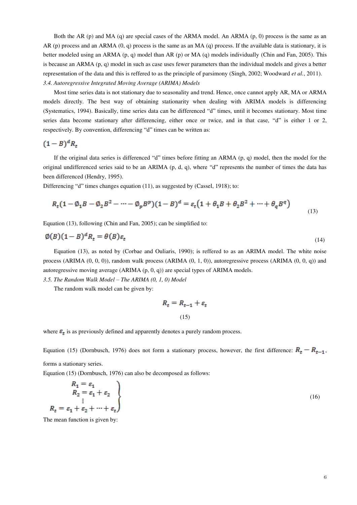Both the AR (p) and MA (q) are special cases of the ARMA model. An ARMA (p, 0) process is the same as an AR (p) process and an ARMA  $(0, q)$  process is the same as an MA  $(q)$  process. If the available data is stationary, it is better modeled using an ARMA (p, q) model than AR (p) or MA (q) models individually (Chin and Fan, 2005). This is because an ARMA (p, q) model in such as case uses fewer parameters than the individual models and gives a better representation of the data and this is reffered to as the principle of parsimony (Singh, 2002; Woodward *et al.*, 2011). *3.4. Autoregressive Integrated Moving Average (ARIMA) Models* 

Most time series data is not stationary due to seasonality and trend. Hence, once cannot apply AR, MA or ARMA models directly. The best way of obtaining stationarity when dealing with ARIMA models is differencing (Systematics, 1994). Basically, time series data can be differenced "d" times, until it becomes stationary. Most time series data become stationary after differencing, either once or twice, and in that case, "d" is either 1 or 2, respectively. By convention, differencing "d" times can be written as:

$$
(1-B)^d R_t
$$

If the original data series is differenced "d" times before fitting an ARMA (p, q) model, then the model for the original undifferenced series said to be an ARIMA (p, d, q), where "d" represents the number of times the data has been differenced (Hendry, 1995).

Differencing "d" times changes equation (11), as suggested by (Cassel, 1918); to:

$$
R_t(1 - \emptyset_1 B - \emptyset_2 B^2 - \dots - \emptyset_p B^p)(1 - B)^d = \varepsilon_t \left(1 + \theta_1 B + \theta_2 B^2 + \dots + \theta_q B^q\right)
$$
(13)

Equation (13), following (Chin and Fan, 2005); can be simplified to:

$$
\emptyset(B)(1-B)^d R_t = \theta(B)\varepsilon_t \tag{14}
$$

Equation (13), as noted by (Corbae and Ouliaris, 1990); is reffered to as an ARIMA model. The white noise process (ARIMA (0, 0, 0)), random walk process (ARIMA (0, 1, 0)), autoregressive process (ARIMA (0, 0, q)) and autoregressive moving average (ARIMA (p, 0, q)) are special types of ARIMA models.

*3.5. The Random Walk Model – The ARIMA (0, 1, 0) Model* 

The random walk model can be given by:

$$
R_t = R_{t-1} + \varepsilon_t
$$
  
(15)

where  $\varepsilon_t$  is as previously defined and apparently denotes a purely random process.

Equation (15) (Dornbusch, 1976) does not form a stationary process, however, the first difference:  $R_t - R_{t-1}$ ,

forms a stationary series.

Equation (15) (Dornbusch, 1976) can also be decomposed as follows:

$$
R_1 = \varepsilon_1
$$
  
\n
$$
R_2 = \varepsilon_1 + \varepsilon_2
$$
  
\n
$$
\vdots
$$
  
\n
$$
R_t = \varepsilon_1 + \varepsilon_2 + \dots + \varepsilon_t
$$
\n(16)

The mean function is given by: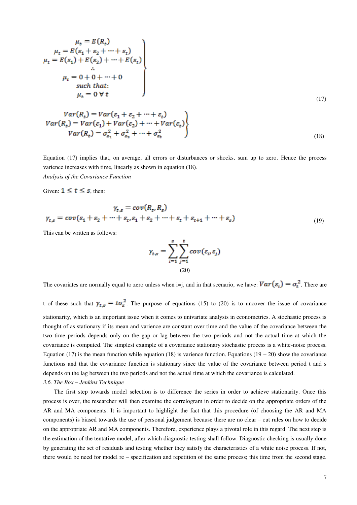$$
\mu_t = E(R_t)
$$
\n
$$
\mu_t = E(\varepsilon_1 + \varepsilon_2 + \dots + \varepsilon_t)
$$
\n
$$
\mu_t = E(\varepsilon_1) + E(\varepsilon_2) + \dots + E(\varepsilon_t)
$$
\n
$$
\vdots
$$
\n
$$
\mu_t = 0 + 0 + \dots + 0
$$
\n
$$
\text{such that:}
$$
\n
$$
\mu_t = 0 \forall t
$$
\n(17)

$$
Var(R_t) = Var(\varepsilon_1 + \varepsilon_2 + \dots + \varepsilon_t)
$$
  
\n
$$
Var(R_t) = Var(\varepsilon_1) + Var(\varepsilon_2) + \dots + Var(\varepsilon_t)
$$
  
\n
$$
Var(R_t) = \sigma_{\varepsilon_1}^2 + \sigma_{\varepsilon_2}^2 + \dots + \sigma_{\varepsilon_t}^2
$$
\n(18)

Equation (17) implies that, on average, all errors or disturbances or shocks, sum up to zero. Hence the process varience increases with time, linearly as shown in equation (18). *Analysis of the Covariance Function* 

Given:  $1 \leq t \leq s$ , then:

$$
\gamma_{t,s} = cov(R_t, R_s)
$$
  

$$
\gamma_{t,s} = cov(\varepsilon_1 + \varepsilon_2 + \dots + \varepsilon_t, \varepsilon_1 + \varepsilon_2 + \dots + \varepsilon_t + \varepsilon_{t+1} + \dots + \varepsilon_s)
$$
 (19)

This can be written as follows:

$$
\gamma_{t,s} = \sum_{i=1}^{s} \sum_{j=1}^{t} cov(\varepsilon_i, \varepsilon_j)
$$
  
(20)

The covariates are normally equal to zero unless when i=j, and in that scenario, we have:  $Var(\varepsilon_i) = \sigma_t^2$ . There are

t of these such that  $\gamma_{ts} = t\sigma_s^2$ . The purpose of equations (15) to (20) is to uncover the issue of covariance stationarity, which is an important issue when it comes to univariate analysis in econometrics. A stochastic process is thought of as stationary if its mean and varience are constant over time and the value of the covariance between the two time periods depends only on the gap or lag between the two periods and not the actual time at which the covariance is computed. The simplest example of a covariance stationary stochastic process is a white-noise process. Equation (17) is the mean function while equation (18) is varience function. Equations (19 – 20) show the covariance functions and that the covariance function is stationary since the value of the covariance between period t and s depends on the lag between the two periods and not the actual time at which the covariance is calculated.

*3.6. The Box – Jenkins Technique* 

The first step towards model selection is to difference the series in order to achieve stationarity. Once this process is over, the researcher will then examine the correlogram in order to decide on the appropriate orders of the AR and MA components. It is important to highlight the fact that this procedure (of choosing the AR and MA components) is biased towards the use of personal judgement because there are no clear – cut rules on how to decide on the appropriate AR and MA components. Therefore, experience plays a pivotal role in this regard. The next step is the estimation of the tentative model, after which diagnostic testing shall follow. Diagnostic checking is usually done by generating the set of residuals and testing whether they satisfy the characteristics of a white noise process. If not, there would be need for model re – specification and repetition of the same process; this time from the second stage.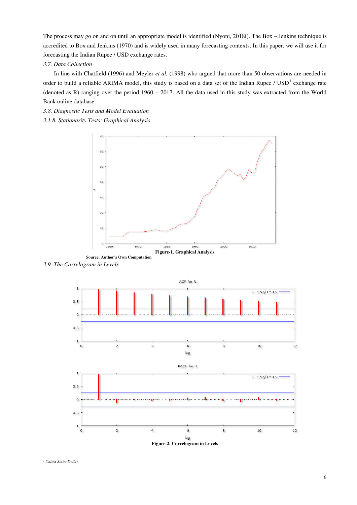The process may go on and on until an appropriate model is identified (Nyoni, 2018i). The Box – Jenkins technique is accredited to Box and Jenkins (1970) and is widely used in many forecasting contexts. In this paper, we will use it for forecasting the Indian Rupee / USD exchange rates.

# *3.7. Data Collection*

In line with Chatfield (1996) and Meyler *et al.* (1998) who argued that more than 50 observations are needed in order to build a reliable ARIMA model, this study is based on a data set of the Indian Rupee /  $\text{USD}^1$  exchange rate (denoted as R) ranging over the period 1960 – 2017. All the data used in this study was extracted from the World Bank online database.

- *3.8. Diagnostic Tests and Model Evaluation*
- *3.1.8. Stationarity Tests: Graphical Analysis*



*3.9. The Correlogram in Levels* 



*1 United States Dollar.* 

 $\overline{a}$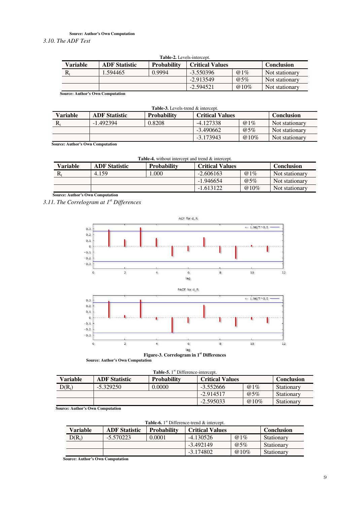# **Source: Author's Own Computation**

*3.10. The ADF Test* 

| <b>Table-2.</b> Levels-intercept. |                      |                    |                        |        |                   |  |  |  |
|-----------------------------------|----------------------|--------------------|------------------------|--------|-------------------|--|--|--|
| Variable                          | <b>ADF</b> Statistic | <b>Probability</b> | <b>Critical Values</b> |        | <b>Conclusion</b> |  |  |  |
| R,                                | .594465              | 0.9994             | $-3.550396$            | $@1\%$ | Not stationary    |  |  |  |
|                                   |                      |                    | $-2.913549$            | $@5\%$ | Not stationary    |  |  |  |
|                                   |                      |                    | $-2.594521$            | @10\%  | Not stationary    |  |  |  |

 **Source: Author's Own Computation** 

| <b>Table-3.</b> Levels-trend & intercept.                                        |             |        |             |                   |                |  |  |  |
|----------------------------------------------------------------------------------|-------------|--------|-------------|-------------------|----------------|--|--|--|
| Variable<br><b>ADF</b> Statistic<br><b>Critical Values</b><br><b>Probability</b> |             |        |             | <b>Conclusion</b> |                |  |  |  |
|                                                                                  | $-1.492394$ | 0.8208 | $-4.127338$ | $@1\%$            | Not stationary |  |  |  |
|                                                                                  |             |        | $-3.490662$ | $@5\%$            | Not stationary |  |  |  |
|                                                                                  |             |        | $-3.173943$ | $@10\%$           | Not stationary |  |  |  |

 **Source: Author's Own Computation** 

| <b>Table-4.</b> without intercept and trend & intercept. |                      |                    |                        |             |                |  |  |  |
|----------------------------------------------------------|----------------------|--------------------|------------------------|-------------|----------------|--|--|--|
| Variable                                                 | <b>ADF</b> Statistic | <b>Probability</b> | <b>Critical Values</b> |             |                |  |  |  |
|                                                          | 4.159                | .000.              | $-2.606163$            | $@1\%$      | Not stationary |  |  |  |
|                                                          |                      |                    | $-1.946654$            | $\omega$ 5% | Not stationary |  |  |  |
|                                                          |                      |                    | $-1.613122$            | @ 10\%      | Not stationary |  |  |  |

 **Source: Author's Own Computation** 

*3.11. The Correlogram at 1st Differences* 



**Figure-3. Correlogram in 1st Differences** 

|  | <b>Source: Author's Own Computation</b> |  |
|--|-----------------------------------------|--|
|--|-----------------------------------------|--|

| Table-5. 1 <sup>st</sup> Difference-intercept. |                      |                    |                        |         |                   |  |  |  |
|------------------------------------------------|----------------------|--------------------|------------------------|---------|-------------------|--|--|--|
| Variable                                       | <b>ADF</b> Statistic | <b>Probability</b> | <b>Critical Values</b> |         | <b>Conclusion</b> |  |  |  |
| $D(R_t)$                                       | $-5.329250$          | 0.0000             | $-3.552666$            | $@1\%$  | Stationary        |  |  |  |
|                                                |                      |                    | $-2.914517$            | $@5\%$  | Stationary        |  |  |  |
|                                                |                      |                    | $-2.595033$            | $@10\%$ | Stationary        |  |  |  |

 **Source: Author's Own Computation** 

|  |  |  | Table-6. 1 <sup>st</sup> Difference-trend & intercept. |  |
|--|--|--|--------------------------------------------------------|--|
|  |  |  |                                                        |  |
|  |  |  |                                                        |  |

| Variable | <b>ADF</b> Statistic | <b>Probability</b> | <b>Critical Values</b> |         | <b>Conclusion</b> |
|----------|----------------------|--------------------|------------------------|---------|-------------------|
| $D(R_t)$ | $-5.570223$          | 0.0001             | $-4.130526$            | $@1\%$  | Stationary        |
|          |                      |                    | $-3.492149$            | $@5\%$  | Stationary        |
|          |                      |                    | $-3.174802$            | $@10\%$ | Stationary        |

 **Source: Author's Own Computation**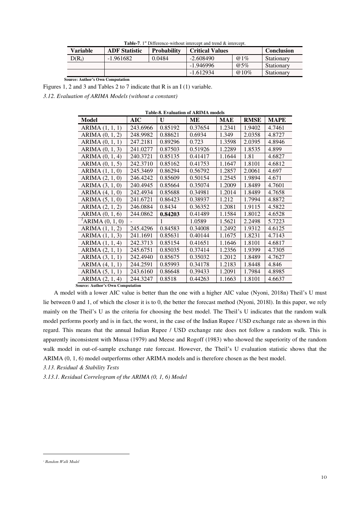| <b>Table-7.</b> 1 <sup>st</sup> Difference-without intercept and trend $\&$ intercept. |  |
|----------------------------------------------------------------------------------------|--|
|----------------------------------------------------------------------------------------|--|

| Variable | <b>ADF</b> Statistic | <b>Probability</b> | <b>Critical Values</b> |             | <b>Conclusion</b> |
|----------|----------------------|--------------------|------------------------|-------------|-------------------|
| $D(R_t)$ | $-1.961682$          | 0.0484             | $-2.608490$            | $\omega$ 1% | Stationary        |
|          |                      |                    | $-1.946996$            | $@5\%$      | Stationary        |
|          |                      |                    | $-1.612934$            | $@10\%$     | Stationary        |

 **Source: Author's Own Computation** 

Figures 1, 2 and 3 and Tables 2 to 7 indicate that R is an I (1) variable.

*3.12. Evaluation of ARIMA Models (without a constant)* 

| <b>Table-8. Evaluation of ARIMA models</b> |          |         |         |            |             |             |  |
|--------------------------------------------|----------|---------|---------|------------|-------------|-------------|--|
| Model                                      | AIC      | U       | MЕ      | <b>MAE</b> | <b>RMSE</b> | <b>MAPE</b> |  |
| ARIMA (1, 1, 1)                            | 243.6966 | 0.85192 | 0.37654 | 1.2341     | 1.9402      | 4.7461      |  |
| ARIMA (0, 1, 2)                            | 248.9982 | 0.88621 | 0.6934  | 1.349      | 2.0358      | 4.8727      |  |
| ARIMA $(0, 1, 1)$                          | 247.2181 | 0.89296 | 0.723   | 1.3598     | 2.0395      | 4.8946      |  |
| ARIMA (0, 1, 3)                            | 241.0277 | 0.87503 | 0.51926 | 1.2289     | 1.8535      | 4.899       |  |
| ARIMA (0, 1, 4)                            | 240.3721 | 0.85135 | 0.41417 | 1.1644     | 1.81        | 4.6827      |  |
| ARIMA (0, 1, 5)                            | 242.3710 | 0.85162 | 0.41753 | 1.1647     | 1.8101      | 4.6812      |  |
| ARIMA (1, 1, 0)                            | 245.3469 | 0.86294 | 0.56792 | 1.2857     | 2.0061      | 4.697       |  |
| ARIMA (2, 1, 0)                            | 246.4242 | 0.85609 | 0.50154 | 1.2545     | 1.9894      | 4.671       |  |
| ARIMA (3, 1, 0)                            | 240.4945 | 0.85664 | 0.35074 | 1.2009     | 1.8489      | 4.7601      |  |
| ARIMA (4, 1, 0)                            | 242.4934 | 0.85688 | 0.34981 | 1.2014     | 1.8489      | 4.7658      |  |
| ARIMA (5, 1, 0)                            | 241.6721 | 0.86423 | 0.38937 | 1.212      | 1.7994      | 4.8872      |  |
| ARIMA $(2, 1, 2)$                          | 246.0884 | 0.8434  | 0.36352 | 1.2081     | 1.9115      | 4.5822      |  |
| ARIMA $(0, 1, 6)$                          | 244.0862 | 0.84203 | 0.41489 | 1.1584     | 1.8012      | 4.6528      |  |
| <sup>2</sup> ARIMA $(0, 1, 0)$             |          |         | 1.0589  | 1.5621     | 2.2498      | 5.7223      |  |
| ARIMA $(1, 1, 2)$                          | 245.4296 | 0.84583 | 0.34008 | 1.2492     | 1.9312      | 4.6125      |  |
| ARIMA $(1, 1, 3)$                          | 241.1691 | 0.85631 | 0.40144 | 1.1675     | 1.8231      | 4.7143      |  |
| ARIMA (1, 1, 4)                            | 242.3713 | 0.85154 | 0.41651 | 1.1646     | 1.8101      | 4.6817      |  |
| ARIMA (2, 1, 1)                            | 245.6751 | 0.85035 | 0.37414 | 1.2356     | 1.9399      | 4.7305      |  |
| ARIMA (3, 1, 1)                            | 242.4940 | 0.85675 | 0.35032 | 1.2012     | 1.8489      | 4.7627      |  |
| ARIMA $(4, 1, 1)$                          | 244.2591 | 0.85993 | 0.34178 | 1.2183     | 1.8448      | 4.846       |  |
| ARIMA (5, 1, 1)                            | 243.6160 | 0.86648 | 0.39433 | 1.2091     | 1.7984      | 4.8985      |  |
| ARIMA $(2, 1, 4)$                          | 244.3247 | 0.8518  | 0.44263 | 1.1663     | 1.8101      | 4.6637      |  |
| Sauree• Author's Awn Computation           |          |         |         |            |             |             |  |

 **Source: Author's Own Computation** 

A model with a lower AIC value is better than the one with a higher AIC value (Nyoni, 2018n) Theil's U must lie between 0 and 1, of which the closer it is to 0, the better the forecast method (Nyoni, 2018l). In this paper, we rely mainly on the Theil's U as the criteria for choosing the best model. The Theil's U indicates that the random walk model performs poorly and is in fact, the worst, in the case of the Indian Rupee / USD exchange rate as shown in this regard. This means that the annual Indian Rupee / USD exchange rate does not follow a random walk. This is apparently inconsistent with Mussa (1979) and Meese and Rogoff (1983) who showed the superiority of the random walk model in out-of-sample exchange rate forecast. However, the Theil's U evaluation statistic shows that the ARIMA (0, 1, 6) model outperforms other ARIMA models and is therefore chosen as the best model.

*3.13. Residual & Stability Tests* 

*3.13.1. Residual Correlogram of the ARIMA (0, 1, 6) Model* 

 $\overline{a}$ 

*<sup>2</sup> Random Walk Model*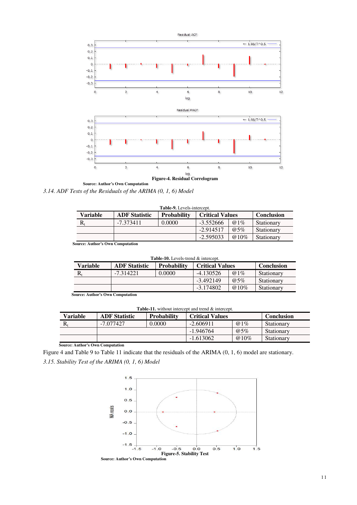

*3.14. ADF Tests of the Residuals of the ARIMA (0, 1, 6) Model* 

| <b>Table-9.</b> Levels-intercept. |                      |                    |                        |             |                   |
|-----------------------------------|----------------------|--------------------|------------------------|-------------|-------------------|
| Variable                          | <b>ADF</b> Statistic | <b>Probability</b> | <b>Critical Values</b> |             | <b>Conclusion</b> |
| R,                                | $-7.373411$          | 0.0000             | $-3.552666$            | $@1\%$      | Stationary        |
|                                   |                      |                    | $-2.914517$            | $\omega$ 5% | Stationary        |
|                                   |                      |                    | $-2.595033$            | $@10\%$     | Stationary        |

 **Source: Author's Own Computation** 

| <b>Table-10.</b> Levels-trend & intercept. |                      |                    |                        |             |                   |
|--------------------------------------------|----------------------|--------------------|------------------------|-------------|-------------------|
| Variable                                   | <b>ADF</b> Statistic | <b>Probability</b> | <b>Critical Values</b> |             | <b>Conclusion</b> |
| R.                                         | $-7.314221$          | 0.0000             | $-4.130526$            | $@1\%$      | Stationary        |
|                                            |                      |                    | $-3.492149$            | $\omega$ 5% | Stationary        |
|                                            |                      |                    | $-3.174802$            | $@10\%$     | Stationary        |
| <b>Source: Author's Own Computation</b>    |                      |                    |                        |             |                   |

**Table-11.** without intercept and trend & intercept.

| Variable | <b>ADF</b> Statistic | <b>Probability</b> | <b>Critical Values</b> |             | <b>Conclusion</b> |
|----------|----------------------|--------------------|------------------------|-------------|-------------------|
| R,       | -7.077427            | 0.0000             | $-2.606911$            | $\omega$ 1% | Stationary        |
|          |                      |                    | $-1.946764$            | $\omega$ 5% | Stationary        |
|          |                      |                    | $-1.613062$            | $@10\%$     | Stationary        |

 **Source: Author's Own Computation** 

Figure 4 and Table 9 to Table 11 indicate that the residuals of the ARIMA (0, 1, 6) model are stationary. *3.15. Stability Test of the ARIMA (0, 1, 6) Model* 

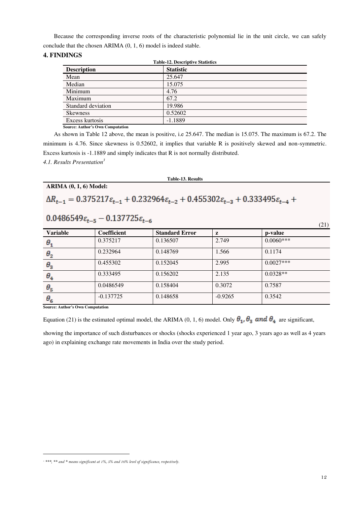Because the corresponding inverse roots of the characteristic polynomial lie in the unit circle, we can safely conclude that the chosen ARIMA (0, 1, 6) model is indeed stable.

# **4. FINDINGS**

| <b>Table-12. Descriptive Statistics</b> |                  |  |  |
|-----------------------------------------|------------------|--|--|
| <b>Description</b>                      | <b>Statistic</b> |  |  |
| Mean                                    | 25.647           |  |  |
| Median                                  | 15.075           |  |  |
| Minimum                                 | 4.76             |  |  |
| Maximum                                 | 67.2             |  |  |
| Standard deviation                      | 19.986           |  |  |
| <b>Skewness</b>                         | 0.52602          |  |  |
| Excess kurtosis                         | $-1.1889$        |  |  |

 **Source: Author's Own Computation** 

As shown in Table 12 above, the mean is positive, i.e 25.647. The median is 15.075. The maximum is 67.2. The minimum is 4.76. Since skewness is 0.52602, it implies that variable R is positively skewed and non-symmetric. Excess kurtosis is -1.1889 and simply indicates that R is not normally distributed.

*4.1. Results Presentation<sup>3</sup>*

**ARIMA (0, 1, 6) Model:** 

**Table-13. Results** 

# $\Delta R_{t-1} = 0.375217 \varepsilon_{t-1} + 0.232964 \varepsilon_{t-2} + 0.455302 \varepsilon_{t-3} + 0.333495 \varepsilon_{t-4} +$

 $0.0486549 \varepsilon_{t-5} - 0.137725 \varepsilon_{t-6}$ 

| <b>Variable</b> | Coefficient | <b>Standard Error</b> | z         | p-value     |
|-----------------|-------------|-----------------------|-----------|-------------|
| $\theta_{1}$    | 0.375217    | 0.136507              | 2.749     | $0.0060***$ |
| $\theta_{2}$    | 0.232964    | 0.148769              | 1.566     | 0.1174      |
| $\theta_3$      | 0.455302    | 0.152045              | 2.995     | $0.0027***$ |
| $\theta_{4}$    | 0.333495    | 0.156202              | 2.135     | $0.0328**$  |
| $\theta_{5}$    | 0.0486549   | 0.158404              | 0.3072    | 0.7587      |
| $\theta_{6}$    | $-0.137725$ | 0.148658              | $-0.9265$ | 0.3542      |

**Source: Author's Own Computation** 

 $\overline{a}$ 

Equation (21) is the estimated optimal model, the ARIMA (0, 1, 6) model. Only  $\theta_1$ ,  $\theta_3$  and  $\theta_4$  are significant,

showing the importance of such disturbances or shocks (shocks experienced 1 year ago, 3 years ago as well as 4 years ago) in explaining exchange rate movements in India over the study period.

(21)

<sup>&</sup>lt;sup>3</sup> \*\*\*, \*\* and \* means significant at 1%, 5% and 10% level of significance, respectively.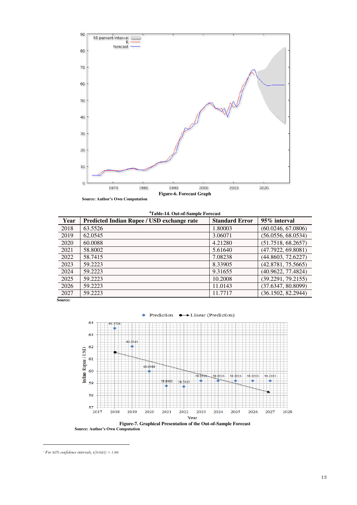

| <sup>4</sup> Table-14. Out-of-Sample Forecast |                                            |                       |                    |  |  |
|-----------------------------------------------|--------------------------------------------|-----------------------|--------------------|--|--|
| Year                                          | Predicted Indian Rupee / USD exchange rate | <b>Standard Error</b> | 95% interval       |  |  |
| 2018                                          | 63.5526                                    | 1.80003               | (60.0246, 67.0806) |  |  |
| 2019                                          | 62.0545                                    | 3.06071               | (56.0556, 68.0534) |  |  |
| 2020                                          | 60.0088                                    | 4.21280               | (51.7518, 68.2657) |  |  |
| 2021                                          | 58.8002                                    | 5.61640               | (47.7922, 69.8081) |  |  |
| 2022                                          | 58.7415                                    | 7.08238               | (44.8603, 72.6227) |  |  |
| 2023                                          | 59.2223                                    | 8.33905               | (42.8781, 75.5665) |  |  |
| 2024                                          | 59.2223                                    | 9.31655               | (40.9622, 77.4824) |  |  |
| 2025                                          | 59.2223                                    | 10.2008               | (39.2291, 79.2155) |  |  |
| 2026                                          | 59.2223                                    | 11.0143               | (37.6347, 80.8099) |  |  |
| 2027                                          | 59.2223                                    | 11.7717               | (36.1502, 82.2944) |  |  |

 **Source:** 



 **Source: Author's Own Computation**

 $\overline{a}$ 

 *For 95% confidence intervals, z(0.025) = 1.96*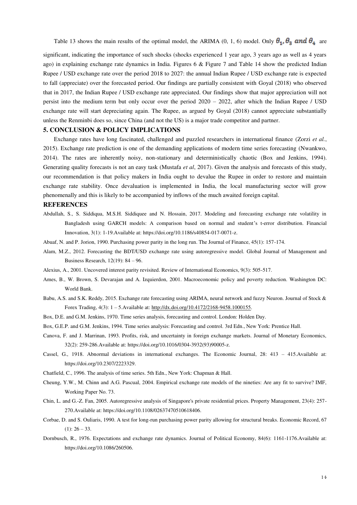Table 13 shows the main results of the optimal model, the ARIMA (0, 1, 6) model. Only  $\theta_1$ ,  $\theta_3$  and  $\theta_4$  are

significant, indicating the importance of such shocks (shocks experienced 1 year ago, 3 years ago as well as 4 years ago) in explaining exchange rate dynamics in India. Figures 6 & Figure 7 and Table 14 show the predicted Indian Rupee / USD exchange rate over the period 2018 to 2027: the annual Indian Rupee / USD exchange rate is expected to fall (appreciate) over the forecasted period. Our findings are partially consistent with Goyal (2018) who observed that in 2017, the Indian Rupee / USD exchange rate appreciated. Our findings show that major appreciation will not persist into the medium term but only occur over the period 2020 – 2022, after which the Indian Rupee / USD exchange rate will start depreciating again. The Rupee, as argued by Goyal (2018) cannot appreciate substantially unless the Renminbi does so, since China (and not the US) is a major trade competitor and partner.

# **5. CONCLUSION & POLICY IMPLICATIONS**

Exchange rates have long fascinated, challenged and puzzled researchers in international finance (Zorzi *et al.*, 2015). Exchange rate prediction is one of the demanding applications of modern time series forecasting (Nwankwo, 2014). The rates are inherently noisy, non-stationary and deterministically chaotic (Box and Jenkins, 1994). Generating quality forecasts is not an easy task (Mustafa *et al*, 2017). Given the analysis and forecasts of this study, our recommendation is that policy makers in India ought to devalue the Rupee in order to restore and maintain exchange rate stability. Once devaluation is implemented in India, the local manufacturing sector will grow phenomenally and this is likely to be accompanied by inflows of the much awaited foreign capital.

#### **REFERENCES**

- Abdullah, S., S. Siddiqua, M.S.H. Siddiquee and N. Hossain, 2017. Modeling and forecasting exchange rate volatility in Bangladesh using GARCH models: A comparison based on normal and student's t-error distribution. Financial Innovation, 3(1): 1-19.Available at: https://doi.org/10.1186/s40854-017-0071-z.
- Abuaf, N. and P. Jorion, 1990. Purchasing power parity in the long run. The Journal of Finance, 45(1): 157-174.
- Alam, M.Z., 2012. Forecasting the BDT/USD exchange rate using autoregressive model. Global Journal of Management and Business Research, 12(19): 84 – 96.
- Alexius, A., 2001. Uncovered interest parity revisited. Review of International Economics, 9(3): 505-517.
- Ames, B., W. Brown, S. Devarajan and A. Izquierdon, 2001. Macroeconomic policy and poverty reduction. Washington DC: World Bank.
- Babu, A.S. and S.K. Reddy, 2015. Exchange rate forecasting using ARIMA, neural network and fuzzy Neuron. Journal of Stock & Forex Trading, 4(3): 1 – 5.Available at: http://dx.doi.org/10.4172/2168-9458.1000155.
- Box, D.E. and G.M. Jenkins, 1970. Time series analysis, forecasting and control. London: Holden Day.
- Box, G.E.P. and G.M. Jenkins, 1994. Time series analysis: Forecasting and control. 3rd Edn., New York: Prentice Hall.
- Canova, F. and J. Marrinan, 1993. Profits, risk, and uncertainty in foreign exchange markets. Journal of Monetary Economics, 32(2): 259-286.Available at: https://doi.org/10.1016/0304-3932(93)90005-z.
- Cassel, G., 1918. Abnormal deviations in international exchanges. The Economic Journal, 28: 413 415.Available at: https://doi.org/10.2307/2223329.
- Chatfield, C., 1996. The analysis of time series. 5th Edn., New York: Chapman & Hall.
- Cheung, Y.W., M. Chinn and A.G. Pascual, 2004. Empirical exchange rate models of the nineties: Are any fit to survive? IMF, Working Paper No. 73.
- Chin, L. and G.-Z. Fan, 2005. Autoregressive analysis of Singapore's private residential prices. Property Management, 23(4): 257- 270.Available at: https://doi.org/10.1108/02637470510618406.
- Corbae, D. and S. Ouliaris, 1990. A test for long-run purchasing power parity allowing for structural breaks. Economic Record, 67  $(1): 26 - 33.$
- Dornbusch, R., 1976. Expectations and exchange rate dynamics. Journal of Political Economy, 84(6): 1161-1176.Available at: https://doi.org/10.1086/260506.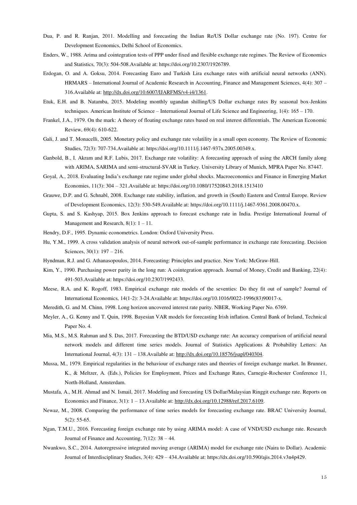- Dua, P. and R. Ranjan, 2011. Modelling and forecasting the Indian Re/US Dollar exchange rate (No. 197). Centre for Development Economics, Delhi School of Economics.
- Enders, W., 1988. Arima and cointegration tests of PPP under fixed and flexible exchange rate regimes. The Review of Economics and Statistics, 70(3): 504-508.Available at: https://doi.org/10.2307/1926789.
- Erdogan, O. and A. Goksu, 2014. Forecasting Euro and Turkish Lira exchange rates with artificial neural networks (ANN). HRMARS – International Journal of Academic Research in Accounting, Finance and Management Sciences, 4(4): 307 – 316.Available at: http://dx.doi.org/10.6007/IJARFMS/v4-i4/1361.
- Etuk, E.H. and B. Natamba, 2015. Modeling monthly ugandan shilling/US Dollar exchange rates By seasonal box-Jenkins techniques. American Institute of Science – International Journal of Life Science and Engineering, 1(4): 165 – 170.
- Frankel, J.A., 1979. On the mark: A theory of floating exchange rates based on real interest differentials. The American Economic Review, 69(4): 610-622.
- Gali, J. and T. Monacelli, 2005. Monetary policy and exchange rate volatility in a small open economy. The Review of Economic Studies, 72(3): 707-734.Available at: https://doi.org/10.1111/j.1467-937x.2005.00349.x.
- Ganbold, B., I. Akram and R.F. Lubis, 2017. Exchange rate volatility: A forecasting approach of using the ARCH family along with ARIMA, SARIMA and semi-structural-SVAR in Turkey. University Library of Munich, MPRA Paper No. 87447.
- Goyal, A., 2018. Evaluating India's exchange rate regime under global shocks. Macroeconomics and Finance in Emerging Market Economies, 11(3): 304 – 321.Available at: https://doi.org/10.1080/17520843.2018.1513410
- Grauwe, D.P. and G. Schnabl, 2008. Exchange rate stability, inflation, and growth in (South) Eastern and Central Europe. Review of Development Economics, 12(3): 530-549.Available at: https://doi.org/10.1111/j.1467-9361.2008.00470.x.
- Gupta, S. and S. Kashyap, 2015. Box Jenkins approach to forecast exchange rate in India. Prestige International Journal of Management and Research,  $8(1)$ :  $1 - 11$ .
- Hendry, D.F., 1995. Dynamic econometrics. London: Oxford University Press.
- Hu, Y.M., 1999. A cross validation analysis of neural network out-of-sample performance in exchange rate forecasting. Decision Sciences, 30(1): 197 – 216.
- Hyndman, R.J. and G. Athanasopoulos, 2014. Forecasting: Principles and practice. New York: McGraw-Hill.
- Kim, Y., 1990. Purchasing power parity in the long run: A cointegration approach. Journal of Money, Credit and Banking, 22(4): 491-503.Available at: https://doi.org/10.2307/1992433.
- Meese, R.A. and K. Rogoff, 1983. Empirical exchange rate models of the seventies: Do they fit out of sample? Journal of International Economics, 14(1-2): 3-24.Available at: https://doi.org/10.1016/0022-1996(83)90017-x.
- Meredith, G. and M. Chinn, 1998. Long horizon uncovered interest rate parity. NBER, Working Paper No. 6769.
- Meyler, A., G. Kenny and T. Quin, 1998. Bayesian VAR models for forecasting Irish inflation. Central Bank of Ireland, Technical Paper No. 4.
- Mia, M.S., M.S. Rahman and S. Das, 2017. Forecasting the BTD/USD exchange rate: An accuracy comparison of artificial neural network models and different time series models. Journal of Statistics Applications & Probability Letters: An International Journal, 4(3): 131 – 138.Available at: http://dx.doi.org/10.18576/jsapl/040304.
- Mussa, M., 1979. Empirical regularities in the behaviour of exchange rates and theories of foreign exchange market. In Brunner, K., & Meltzer, A. (Eds.), Policies for Employment, Prices and Exchange Rates, Carnegie-Rochester Conference 11, North-Holland, Amsterdam.
- Mustafa, A., M.H. Ahmad and N. Ismail, 2017. Modeling and forecasting US Dollar/Malaysian Ringgit exchange rate. Reports on Economics and Finance, 3(1): 1 – 13.Available at: http://dx.doi.org/10.12988/ref.2017.6109.
- Newaz, M., 2008. Comparing the performance of time series models for forecasting exchange rate. BRAC University Journal, 5(2): 55-65.
- Ngan, T.M.U., 2016. Forecasting foreign exchange rate by using ARIMA model: A case of VND/USD exchange rate. Research Journal of Finance and Accounting, 7(12): 38 – 44.
- Nwankwo, S.C., 2014. Autoregressive integrated moving average (ARIMA) model for exchange rate (Naira to Dollar). Academic Journal of Interdisciplinary Studies, 3(4): 429 – 434.Available at: https://dx.doi.org/10.590/ajis.2014.v3n4p429.